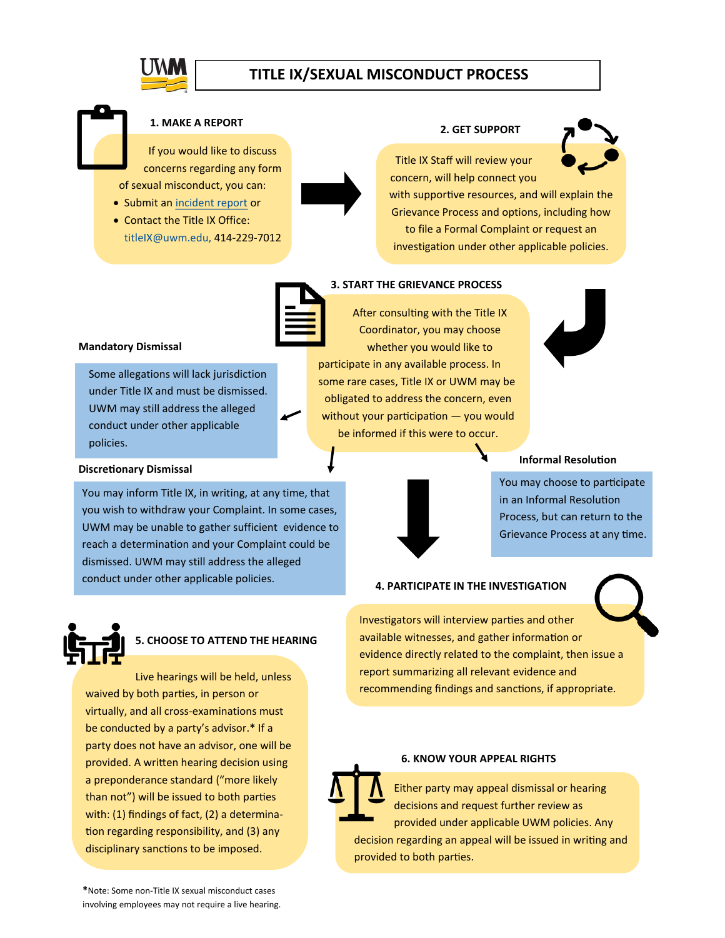# **TITLE IX/SEXUAL MISCONDUCT PROCESS**



## **1. MAKE A REPORT**

If you would like to discuss concerns regarding any form of sexual misconduct, you can:

• Submit an [incident report](https://cm.maxient.com/reportingform.php?UnivofWisconsinMilwaukee&layout_id=13) or

Some allegations will lack jurisdiction under Title IX and must be dismissed. UWM may still address the alleged conduct under other applicable

• Contact the Title IX Office: titleIX@uwm.edu, 414-229-7012



#### **2. GET SUPPORT**



Title IX Staff will review your concern, will help connect you

with supportive resources, and will explain the Grievance Process and options, including how to file a Formal Complaint or request an investigation under other applicable policies.



## **3. START THE GRIEVANCE PROCESS**

After consulting with the Title IX Coordinator, you may choose whether you would like to participate in any available process. In

some rare cases, Title IX or UWM may be obligated to address the concern, even without your participation — you would be informed if this were to occur.



### **Informal Resolution**



You may choose to participate in an Informal Resolution

Process, but can return to the Grievance Process at any time.



policies.

**Mandatory Dismissal** 

**Discretionary Dismissal** 

# **5. CHOOSE TO ATTEND THE HEARING**

You may inform Title IX, in writing, at any time, that you wish to withdraw your Complaint. In some cases, UWM may be unable to gather sufficient evidence to reach a determination and your Complaint could be dismissed. UWM may still address the alleged conduct under other applicable policies.

Live hearings will be held, unless waived by both parties, in person or virtually, and all cross-examinations must be conducted by a party's advisor.**\*** If a party does not have an advisor, one will be provided. A written hearing decision using a preponderance standard ("more likely than not") will be issued to both parties with: (1) findings of fact, (2) a determination regarding responsibility, and (3) any disciplinary sanctions to be imposed.

# **4. PARTICIPATE IN THE INVESTIGATION**

Investigators will interview parties and other available witnesses, and gather information or evidence directly related to the complaint, then issue a report summarizing all relevant evidence and recommending findings and sanctions, if appropriate.

#### **6. KNOW YOUR APPEAL RIGHTS**

Either party may appeal dismissal or hearing decisions and request further review as provided under applicable UWM policies. Any decision regarding an appeal will be issued in writing and provided to both parties.

**\***Note: Some non-Title IX sexual misconduct cases involving employees may not require a live hearing.